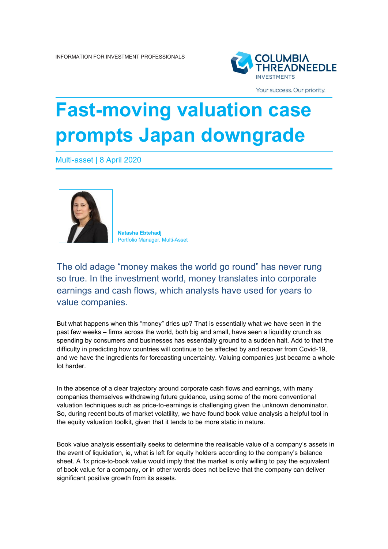

Your success. Our priority.

## **Fast-moving valuation case prompts Japan downgrade**

Multi-asset | 8 April 2020



**Natasha Ebtehadj** Portfolio Manager, Multi-Asset

The old adage "money makes the world go round" has never rung so true. In the investment world, money translates into corporate earnings and cash flows, which analysts have used for years to value companies.

But what happens when this "money" dries up? That is essentially what we have seen in the past few weeks – firms across the world, both big and small, have seen a liquidity crunch as spending by consumers and businesses has essentially ground to a sudden halt. Add to that the difficulty in predicting how countries will continue to be affected by and recover from Covid-19, and we have the ingredients for forecasting uncertainty. Valuing companies just became a whole lot harder.

In the absence of a clear trajectory around corporate cash flows and earnings, with many companies themselves withdrawing future guidance, using some of the more conventional valuation techniques such as price-to-earnings is challenging given the unknown denominator. So, during recent bouts of market volatility, we have found book value analysis a helpful tool in the equity valuation toolkit, given that it tends to be more static in nature.

Book value analysis essentially seeks to determine the realisable value of a company's assets in the event of liquidation, ie, what is left for equity holders according to the company's balance sheet. A 1x price-to-book value would imply that the market is only willing to pay the equivalent of book value for a company, or in other words does not believe that the company can deliver significant positive growth from its assets.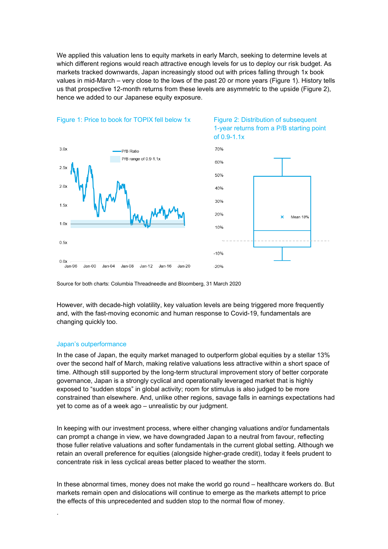We applied this valuation lens to equity markets in early March, seeking to determine levels at which different regions would reach attractive enough levels for us to deploy our risk budget. As markets tracked downwards, Japan increasingly stood out with prices falling through 1x book values in mid-March – very close to the lows of the past 20 or more years (Figure 1). History tells us that prospective 12-month returns from these levels are asymmetric to the upside (Figure 2), hence we added to our Japanese equity exposure.



## Figure 1: Price to book for TOPIX fell below 1x Figure 2: Distribution of subsequent





Source for both charts: Columbia Threadneedle and Bloomberg, 31 March 2020

However, with decade-high volatility, key valuation levels are being triggered more frequently and, with the fast-moving economic and human response to Covid-19, fundamentals are changing quickly too.

## Japan's outperformance

.

In the case of Japan, the equity market managed to outperform global equities by a stellar 13% over the second half of March, making relative valuations less attractive within a short space of time. Although still supported by the long-term structural improvement story of better corporate governance, Japan is a strongly cyclical and operationally leveraged market that is highly exposed to "sudden stops" in global activity; room for stimulus is also judged to be more constrained than elsewhere. And, unlike other regions, savage falls in earnings expectations had yet to come as of a week ago – unrealistic by our judgment.

In keeping with our investment process, where either changing valuations and/or fundamentals can prompt a change in view, we have downgraded Japan to a neutral from favour, reflecting those fuller relative valuations and softer fundamentals in the current global setting. Although we retain an overall preference for equities (alongside higher-grade credit), today it feels prudent to concentrate risk in less cyclical areas better placed to weather the storm.

In these abnormal times, money does not make the world go round – healthcare workers do. But markets remain open and dislocations will continue to emerge as the markets attempt to price the effects of this unprecedented and sudden stop to the normal flow of money.